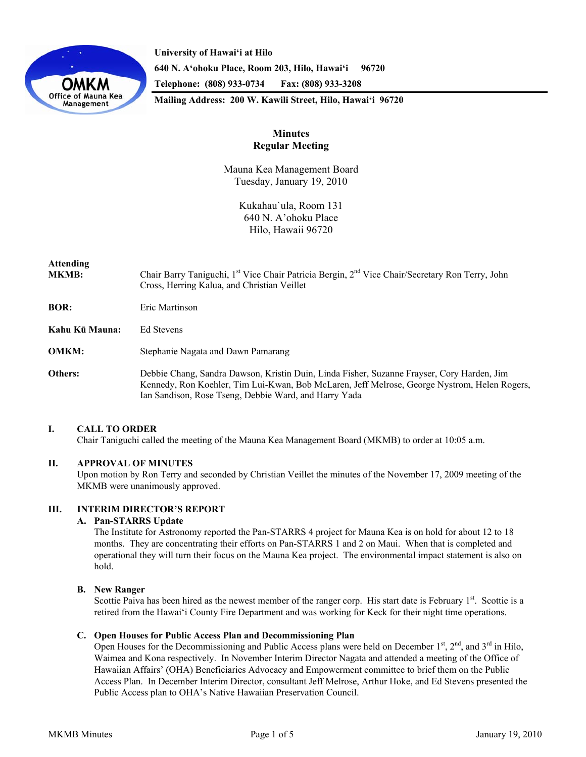

**University of Hawai'i at Hilo 640 N. A'ohoku Place, Room 203, Hilo, Hawai'i 96720 Telephone: (808) 933-0734 Fax: (808) 933-3208 Mailing Address: 200 W. Kawili Street, Hilo, Hawai'i 96720** 

# **Minutes Regular Meeting**

Mauna Kea Management Board Tuesday, January 19, 2010

> Kukahau`ula, Room 131 640 N. A'ohoku Place Hilo, Hawaii 96720

# **Attending**

**MKMB:** Chair Barry Taniguchi, 1<sup>st</sup> Vice Chair Patricia Bergin, 2<sup>nd</sup> Vice Chair/Secretary Ron Terry, John Cross, Herring Kalua, and Christian Veillet

**BOR:** Eric Martinson

**Kahu Kū Mauna:** Ed Stevens

**OMKM:** Stephanie Nagata and Dawn Pamarang

**Others:** Debbie Chang, Sandra Dawson, Kristin Duin, Linda Fisher, Suzanne Frayser, Cory Harden, Jim Kennedy, Ron Koehler, Tim Lui-Kwan, Bob McLaren, Jeff Melrose, George Nystrom, Helen Rogers, Ian Sandison, Rose Tseng, Debbie Ward, and Harry Yada

## **I. CALL TO ORDER**

Chair Taniguchi called the meeting of the Mauna Kea Management Board (MKMB) to order at 10:05 a.m.

# **II. APPROVAL OF MINUTES**

Upon motion by Ron Terry and seconded by Christian Veillet the minutes of the November 17, 2009 meeting of the MKMB were unanimously approved.

# **III. INTERIM DIRECTOR'S REPORT**

## **A. Pan-STARRS Update**

The Institute for Astronomy reported the Pan-STARRS 4 project for Mauna Kea is on hold for about 12 to 18 months. They are concentrating their efforts on Pan-STARRS 1 and 2 on Maui. When that is completed and operational they will turn their focus on the Mauna Kea project. The environmental impact statement is also on hold.

## **B. New Ranger**

Scottie Paiva has been hired as the newest member of the ranger corp. His start date is February 1<sup>st</sup>. Scottie is a retired from the Hawai'i County Fire Department and was working for Keck for their night time operations.

# **C. Open Houses for Public Access Plan and Decommissioning Plan**

Open Houses for the Decommissioning and Public Access plans were held on December 1<sup>st</sup>, 2<sup>nd</sup>, and 3<sup>rd</sup> in Hilo, Waimea and Kona respectively. In November Interim Director Nagata and attended a meeting of the Office of Hawaiian Affairs' (OHA) Beneficiaries Advocacy and Empowerment committee to brief them on the Public Access Plan. In December Interim Director, consultant Jeff Melrose, Arthur Hoke, and Ed Stevens presented the Public Access plan to OHA's Native Hawaiian Preservation Council.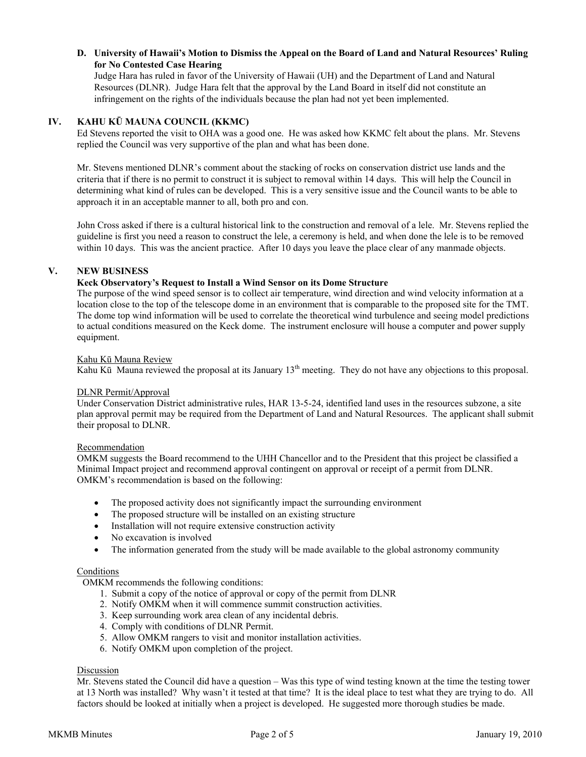# **D. University of Hawaii's Motion to Dismiss the Appeal on the Board of Land and Natural Resources' Ruling for No Contested Case Hearing**

Judge Hara has ruled in favor of the University of Hawaii (UH) and the Department of Land and Natural Resources (DLNR). Judge Hara felt that the approval by the Land Board in itself did not constitute an infringement on the rights of the individuals because the plan had not yet been implemented.

## **IV. KAHU KŪ MAUNA COUNCIL (KKMC)**

Ed Stevens reported the visit to OHA was a good one. He was asked how KKMC felt about the plans. Mr. Stevens replied the Council was very supportive of the plan and what has been done.

Mr. Stevens mentioned DLNR's comment about the stacking of rocks on conservation district use lands and the criteria that if there is no permit to construct it is subject to removal within 14 days. This will help the Council in determining what kind of rules can be developed. This is a very sensitive issue and the Council wants to be able to approach it in an acceptable manner to all, both pro and con.

John Cross asked if there is a cultural historical link to the construction and removal of a lele. Mr. Stevens replied the guideline is first you need a reason to construct the lele, a ceremony is held, and when done the lele is to be removed within 10 days. This was the ancient practice. After 10 days you leave the place clear of any manmade objects.

# **V. NEW BUSINESS**

## **Keck Observatory's Request to Install a Wind Sensor on its Dome Structure**

The purpose of the wind speed sensor is to collect air temperature, wind direction and wind velocity information at a location close to the top of the telescope dome in an environment that is comparable to the proposed site for the TMT. The dome top wind information will be used to correlate the theoretical wind turbulence and seeing model predictions to actual conditions measured on the Keck dome. The instrument enclosure will house a computer and power supply equipment.

#### Kahu Kū Mauna Review

Kahu Kū Mauna reviewed the proposal at its January  $13<sup>th</sup>$  meeting. They do not have any objections to this proposal.

#### DLNR Permit/Approval

Under Conservation District administrative rules, HAR 13-5-24, identified land uses in the resources subzone, a site plan approval permit may be required from the Department of Land and Natural Resources. The applicant shall submit their proposal to DLNR.

## Recommendation

OMKM suggests the Board recommend to the UHH Chancellor and to the President that this project be classified a Minimal Impact project and recommend approval contingent on approval or receipt of a permit from DLNR. OMKM's recommendation is based on the following:

- The proposed activity does not significantly impact the surrounding environment
- The proposed structure will be installed on an existing structure
- Installation will not require extensive construction activity
- No excavation is involved
- The information generated from the study will be made available to the global astronomy community

## Conditions

OMKM recommends the following conditions:

- 1. Submit a copy of the notice of approval or copy of the permit from DLNR
- 2. Notify OMKM when it will commence summit construction activities.
- 3. Keep surrounding work area clean of any incidental debris.
- 4. Comply with conditions of DLNR Permit.
- 5. Allow OMKM rangers to visit and monitor installation activities.
- 6. Notify OMKM upon completion of the project.

## Discussion

Mr. Stevens stated the Council did have a question – Was this type of wind testing known at the time the testing tower at 13 North was installed? Why wasn't it tested at that time? It is the ideal place to test what they are trying to do. All factors should be looked at initially when a project is developed. He suggested more thorough studies be made.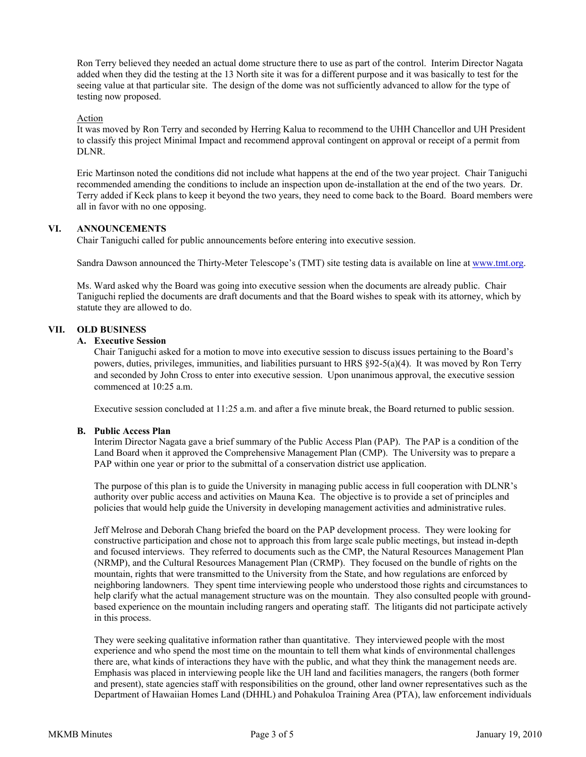Ron Terry believed they needed an actual dome structure there to use as part of the control. Interim Director Nagata added when they did the testing at the 13 North site it was for a different purpose and it was basically to test for the seeing value at that particular site. The design of the dome was not sufficiently advanced to allow for the type of testing now proposed.

#### Action

It was moved by Ron Terry and seconded by Herring Kalua to recommend to the UHH Chancellor and UH President to classify this project Minimal Impact and recommend approval contingent on approval or receipt of a permit from DLNR.

Eric Martinson noted the conditions did not include what happens at the end of the two year project. Chair Taniguchi recommended amending the conditions to include an inspection upon de-installation at the end of the two years. Dr. Terry added if Keck plans to keep it beyond the two years, they need to come back to the Board. Board members were all in favor with no one opposing.

#### **VI. ANNOUNCEMENTS**

Chair Taniguchi called for public announcements before entering into executive session.

Sandra Dawson announced the Thirty-Meter Telescope's (TMT) site testing data is available on line at [www.tmt.org](http://www.tmt.org/).

Ms. Ward asked why the Board was going into executive session when the documents are already public. Chair Taniguchi replied the documents are draft documents and that the Board wishes to speak with its attorney, which by statute they are allowed to do.

#### **VII. OLD BUSINESS**

## **A. Executive Session**

Chair Taniguchi asked for a motion to move into executive session to discuss issues pertaining to the Board's powers, duties, privileges, immunities, and liabilities pursuant to HRS §92-5(a)(4). It was moved by Ron Terry and seconded by John Cross to enter into executive session. Upon unanimous approval, the executive session commenced at 10:25 a.m.

Executive session concluded at 11:25 a.m. and after a five minute break, the Board returned to public session.

# **B. Public Access Plan**

Interim Director Nagata gave a brief summary of the Public Access Plan (PAP). The PAP is a condition of the Land Board when it approved the Comprehensive Management Plan (CMP). The University was to prepare a PAP within one year or prior to the submittal of a conservation district use application.

The purpose of this plan is to guide the University in managing public access in full cooperation with DLNR's authority over public access and activities on Mauna Kea. The objective is to provide a set of principles and policies that would help guide the University in developing management activities and administrative rules.

Jeff Melrose and Deborah Chang briefed the board on the PAP development process. They were looking for constructive participation and chose not to approach this from large scale public meetings, but instead in-depth and focused interviews. They referred to documents such as the CMP, the Natural Resources Management Plan (NRMP), and the Cultural Resources Management Plan (CRMP). They focused on the bundle of rights on the mountain, rights that were transmitted to the University from the State, and how regulations are enforced by neighboring landowners. They spent time interviewing people who understood those rights and circumstances to help clarify what the actual management structure was on the mountain. They also consulted people with groundbased experience on the mountain including rangers and operating staff. The litigants did not participate actively in this process.

They were seeking qualitative information rather than quantitative. They interviewed people with the most experience and who spend the most time on the mountain to tell them what kinds of environmental challenges there are, what kinds of interactions they have with the public, and what they think the management needs are. Emphasis was placed in interviewing people like the UH land and facilities managers, the rangers (both former and present), state agencies staff with responsibilities on the ground, other land owner representatives such as the Department of Hawaiian Homes Land (DHHL) and Pohakuloa Training Area (PTA), law enforcement individuals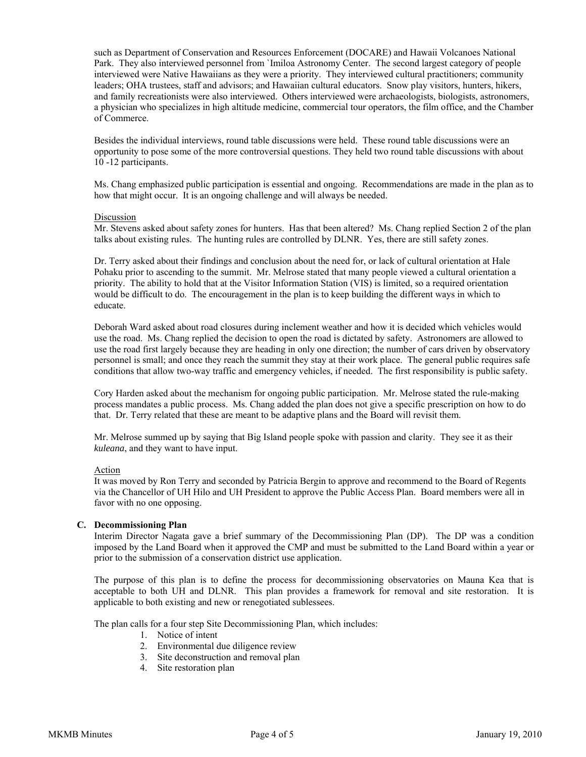such as Department of Conservation and Resources Enforcement (DOCARE) and Hawaii Volcanoes National Park. They also interviewed personnel from `Imiloa Astronomy Center. The second largest category of people interviewed were Native Hawaiians as they were a priority. They interviewed cultural practitioners; community leaders; OHA trustees, staff and advisors; and Hawaiian cultural educators. Snow play visitors, hunters, hikers, and family recreationists were also interviewed. Others interviewed were archaeologists, biologists, astronomers, a physician who specializes in high altitude medicine, commercial tour operators, the film office, and the Chamber of Commerce.

Besides the individual interviews, round table discussions were held. These round table discussions were an opportunity to pose some of the more controversial questions. They held two round table discussions with about 10 -12 participants.

Ms. Chang emphasized public participation is essential and ongoing. Recommendations are made in the plan as to how that might occur. It is an ongoing challenge and will always be needed.

#### Discussion

Mr. Stevens asked about safety zones for hunters. Has that been altered? Ms. Chang replied Section 2 of the plan talks about existing rules. The hunting rules are controlled by DLNR. Yes, there are still safety zones.

Dr. Terry asked about their findings and conclusion about the need for, or lack of cultural orientation at Hale Pohaku prior to ascending to the summit. Mr. Melrose stated that many people viewed a cultural orientation a priority. The ability to hold that at the Visitor Information Station (VIS) is limited, so a required orientation would be difficult to do. The encouragement in the plan is to keep building the different ways in which to educate.

Deborah Ward asked about road closures during inclement weather and how it is decided which vehicles would use the road. Ms. Chang replied the decision to open the road is dictated by safety. Astronomers are allowed to use the road first largely because they are heading in only one direction; the number of cars driven by observatory personnel is small; and once they reach the summit they stay at their work place. The general public requires safe conditions that allow two-way traffic and emergency vehicles, if needed. The first responsibility is public safety.

Cory Harden asked about the mechanism for ongoing public participation. Mr. Melrose stated the rule-making process mandates a public process. Ms. Chang added the plan does not give a specific prescription on how to do that. Dr. Terry related that these are meant to be adaptive plans and the Board will revisit them.

Mr. Melrose summed up by saying that Big Island people spoke with passion and clarity. They see it as their *kuleana*, and they want to have input.

#### Action

It was moved by Ron Terry and seconded by Patricia Bergin to approve and recommend to the Board of Regents via the Chancellor of UH Hilo and UH President to approve the Public Access Plan. Board members were all in favor with no one opposing.

## **C. Decommissioning Plan**

Interim Director Nagata gave a brief summary of the Decommissioning Plan (DP). The DP was a condition imposed by the Land Board when it approved the CMP and must be submitted to the Land Board within a year or prior to the submission of a conservation district use application.

The purpose of this plan is to define the process for decommissioning observatories on Mauna Kea that is acceptable to both UH and DLNR. This plan provides a framework for removal and site restoration. It is applicable to both existing and new or renegotiated sublessees.

The plan calls for a four step Site Decommissioning Plan, which includes:

- 1. Notice of intent
- 2. Environmental due diligence review
- 3. Site deconstruction and removal plan
- 4. Site restoration plan